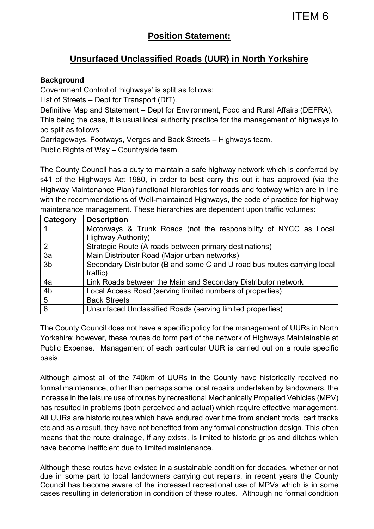# **Position Statement:**

# **Unsurfaced Unclassified Roads (UUR) in North Yorkshire**

### **Background**

Government Control of 'highways' is split as follows:

List of Streets – Dept for Transport (DfT).

Definitive Map and Statement – Dept for Environment, Food and Rural Affairs (DEFRA).

This being the case, it is usual local authority practice for the management of highways to be split as follows:

Carriageways, Footways, Verges and Back Streets – Highways team.

Public Rights of Way – Countryside team.

The County Council has a duty to maintain a safe highway network which is conferred by s41 of the Highways Act 1980, in order to best carry this out it has approved (via the Highway Maintenance Plan) functional hierarchies for roads and footway which are in line with the recommendations of Well-maintained Highways, the code of practice for highway maintenance management. These hierarchies are dependent upon traffic volumes:

| Category        | <b>Description</b>                                                       |
|-----------------|--------------------------------------------------------------------------|
|                 | Motorways & Trunk Roads (not the responsibility of NYCC as Local         |
|                 | <b>Highway Authority)</b>                                                |
| 2               | Strategic Route (A roads between primary destinations)                   |
| 3a              | Main Distributor Road (Major urban networks)                             |
| 3 <sub>b</sub>  | Secondary Distributor (B and some C and U road bus routes carrying local |
|                 | traffic)                                                                 |
| 4a              | Link Roads between the Main and Secondary Distributor network            |
| 4 <sub>b</sub>  | Local Access Road (serving limited numbers of properties)                |
| $5\phantom{.0}$ | <b>Back Streets</b>                                                      |
| 6               | Unsurfaced Unclassified Roads (serving limited properties)               |

The County Council does not have a specific policy for the management of UURs in North Yorkshire; however, these routes do form part of the network of Highways Maintainable at Public Expense. Management of each particular UUR is carried out on a route specific basis.

Although almost all of the 740km of UURs in the County have historically received no formal maintenance, other than perhaps some local repairs undertaken by landowners, the increase in the leisure use of routes by recreational Mechanically Propelled Vehicles (MPV) has resulted in problems (both perceived and actual) which require effective management. All UURs are historic routes which have endured over time from ancient trods, cart tracks etc and as a result, they have not benefited from any formal construction design. This often means that the route drainage, if any exists, is limited to historic grips and ditches which have become inefficient due to limited maintenance.

Although these routes have existed in a sustainable condition for decades, whether or not due in some part to local landowners carrying out repairs, in recent years the County Council has become aware of the increased recreational use of MPVs which is in some cases resulting in deterioration in condition of these routes. Although no formal condition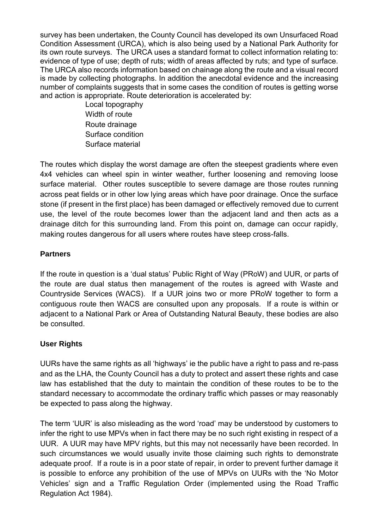survey has been undertaken, the County Council has developed its own Unsurfaced Road Condition Assessment (URCA), which is also being used by a National Park Authority for its own route surveys. The URCA uses a standard format to collect information relating to: evidence of type of use; depth of ruts; width of areas affected by ruts; and type of surface. The URCA also records information based on chainage along the route and a visual record is made by collecting photographs. In addition the anecdotal evidence and the increasing number of complaints suggests that in some cases the condition of routes is getting worse and action is appropriate. Route deterioration is accelerated by:

> Local topography Width of route Route drainage Surface condition Surface material

The routes which display the worst damage are often the steepest gradients where even 4x4 vehicles can wheel spin in winter weather, further loosening and removing loose surface material. Other routes susceptible to severe damage are those routes running across peat fields or in other low lying areas which have poor drainage. Once the surface stone (if present in the first place) has been damaged or effectively removed due to current use, the level of the route becomes lower than the adjacent land and then acts as a drainage ditch for this surrounding land. From this point on, damage can occur rapidly, making routes dangerous for all users where routes have steep cross-falls.

### **Partners**

If the route in question is a 'dual status' Public Right of Way (PRoW) and UUR, or parts of the route are dual status then management of the routes is agreed with Waste and Countryside Services (WACS). If a UUR joins two or more PRoW together to form a contiguous route then WACS are consulted upon any proposals. If a route is within or adjacent to a National Park or Area of Outstanding Natural Beauty, these bodies are also be consulted.

## **User Rights**

UURs have the same rights as all 'highways' ie the public have a right to pass and re-pass and as the LHA, the County Council has a duty to protect and assert these rights and case law has established that the duty to maintain the condition of these routes to be to the standard necessary to accommodate the ordinary traffic which passes or may reasonably be expected to pass along the highway.

The term 'UUR' is also misleading as the word 'road' may be understood by customers to infer the right to use MPVs when in fact there may be no such right existing in respect of a UUR. A UUR may have MPV rights, but this may not necessarily have been recorded. In such circumstances we would usually invite those claiming such rights to demonstrate adequate proof. If a route is in a poor state of repair, in order to prevent further damage it is possible to enforce any prohibition of the use of MPVs on UURs with the 'No Motor Vehicles' sign and a Traffic Regulation Order (implemented using the Road Traffic Regulation Act 1984).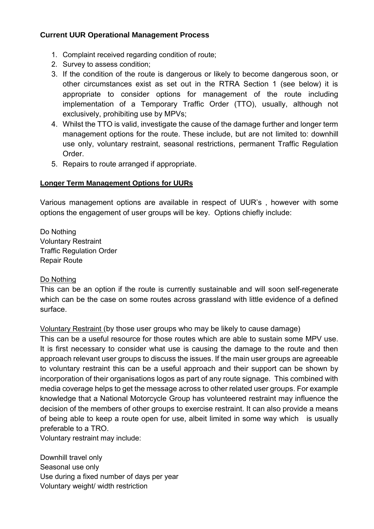### **Current UUR Operational Management Process**

- 1. Complaint received regarding condition of route;
- 2. Survey to assess condition;
- 3. If the condition of the route is dangerous or likely to become dangerous soon, or other circumstances exist as set out in the RTRA Section 1 (see below) it is appropriate to consider options for management of the route including implementation of a Temporary Traffic Order (TTO), usually, although not exclusively, prohibiting use by MPVs;
- 4. Whilst the TTO is valid, investigate the cause of the damage further and longer term management options for the route. These include, but are not limited to: downhill use only, voluntary restraint, seasonal restrictions, permanent Traffic Regulation Order.
- 5. Repairs to route arranged if appropriate.

### **Longer Term Management Options for UURs**

Various management options are available in respect of UUR's , however with some options the engagement of user groups will be key. Options chiefly include:

Do Nothing Voluntary Restraint Traffic Regulation Order Repair Route

### Do Nothing

This can be an option if the route is currently sustainable and will soon self-regenerate which can be the case on some routes across grassland with little evidence of a defined surface.

Voluntary Restraint (by those user groups who may be likely to cause damage)

This can be a useful resource for those routes which are able to sustain some MPV use. It is first necessary to consider what use is causing the damage to the route and then approach relevant user groups to discuss the issues. If the main user groups are agreeable to voluntary restraint this can be a useful approach and their support can be shown by incorporation of their organisations logos as part of any route signage. This combined with media coverage helps to get the message across to other related user groups. For example knowledge that a National Motorcycle Group has volunteered restraint may influence the decision of the members of other groups to exercise restraint. It can also provide a means of being able to keep a route open for use, albeit limited in some way which is usually preferable to a TRO.

Voluntary restraint may include:

Downhill travel only Seasonal use only Use during a fixed number of days per year Voluntary weight/ width restriction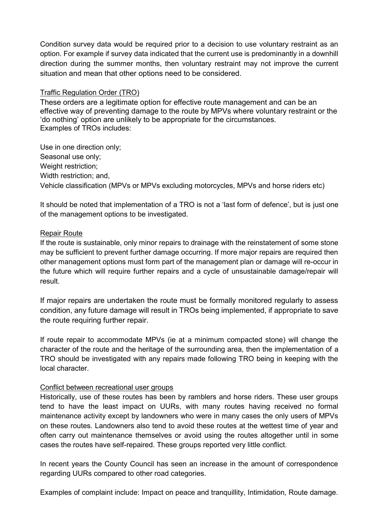Condition survey data would be required prior to a decision to use voluntary restraint as an option. For example if survey data indicated that the current use is predominantly in a downhill direction during the summer months, then voluntary restraint may not improve the current situation and mean that other options need to be considered.

#### Traffic Regulation Order (TRO)

These orders are a legitimate option for effective route management and can be an effective way of preventing damage to the route by MPVs where voluntary restraint or the 'do nothing' option are unlikely to be appropriate for the circumstances. Examples of TROs includes:

Use in one direction only; Seasonal use only; Weight restriction: Width restriction: and. Vehicle classification (MPVs or MPVs excluding motorcycles, MPVs and horse riders etc)

It should be noted that implementation of a TRO is not a 'last form of defence', but is just one of the management options to be investigated.

#### Repair Route

If the route is sustainable, only minor repairs to drainage with the reinstatement of some stone may be sufficient to prevent further damage occurring. If more major repairs are required then other management options must form part of the management plan or damage will re-occur in the future which will require further repairs and a cycle of unsustainable damage/repair will result.

If major repairs are undertaken the route must be formally monitored regularly to assess condition, any future damage will result in TROs being implemented, if appropriate to save the route requiring further repair.

If route repair to accommodate MPVs (ie at a minimum compacted stone) will change the character of the route and the heritage of the surrounding area, then the implementation of a TRO should be investigated with any repairs made following TRO being in keeping with the local character.

### Conflict between recreational user groups

Historically, use of these routes has been by ramblers and horse riders. These user groups tend to have the least impact on UURs, with many routes having received no formal maintenance activity except by landowners who were in many cases the only users of MPVs on these routes. Landowners also tend to avoid these routes at the wettest time of year and often carry out maintenance themselves or avoid using the routes altogether until in some cases the routes have self-repaired. These groups reported very little conflict.

In recent years the County Council has seen an increase in the amount of correspondence regarding UURs compared to other road categories.

Examples of complaint include: Impact on peace and tranquillity, Intimidation, Route damage.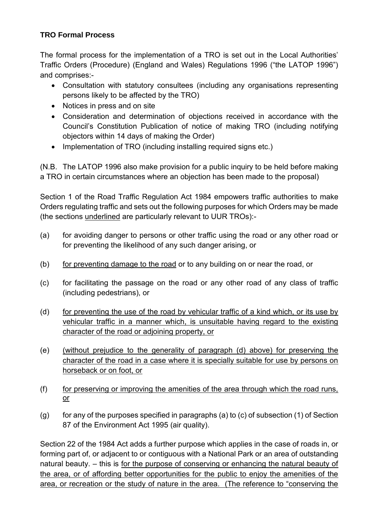## **TRO Formal Process**

The formal process for the implementation of a TRO is set out in the Local Authorities' Traffic Orders (Procedure) (England and Wales) Regulations 1996 ("the LATOP 1996") and comprises:-

- Consultation with statutory consultees (including any organisations representing persons likely to be affected by the TRO)
- Notices in press and on site
- Consideration and determination of objections received in accordance with the Council's Constitution Publication of notice of making TRO (including notifying objectors within 14 days of making the Order)
- Implementation of TRO (including installing required signs etc.)

(N.B. The LATOP 1996 also make provision for a public inquiry to be held before making a TRO in certain circumstances where an objection has been made to the proposal)

Section 1 of the Road Traffic Regulation Act 1984 empowers traffic authorities to make Orders regulating traffic and sets out the following purposes for which Orders may be made (the sections underlined are particularly relevant to UUR TROs):-

- (a) for avoiding danger to persons or other traffic using the road or any other road or for preventing the likelihood of any such danger arising, or
- (b) for preventing damage to the road or to any building on or near the road, or
- (c) for facilitating the passage on the road or any other road of any class of traffic (including pedestrians), or
- (d) for preventing the use of the road by vehicular traffic of a kind which, or its use by vehicular traffic in a manner which, is unsuitable having regard to the existing character of the road or adjoining property, or
- (e) (without prejudice to the generality of paragraph (d) above) for preserving the character of the road in a case where it is specially suitable for use by persons on horseback or on foot, or
- (f) for preserving or improving the amenities of the area through which the road runs, or
- $(q)$  for any of the purposes specified in paragraphs (a) to (c) of subsection (1) of Section 87 of the Environment Act 1995 (air quality).

Section 22 of the 1984 Act adds a further purpose which applies in the case of roads in, or forming part of, or adjacent to or contiguous with a National Park or an area of outstanding natural beauty. – this is for the purpose of conserving or enhancing the natural beauty of the area, or of affording better opportunities for the public to enjoy the amenities of the area, or recreation or the study of nature in the area. (The reference to "conserving the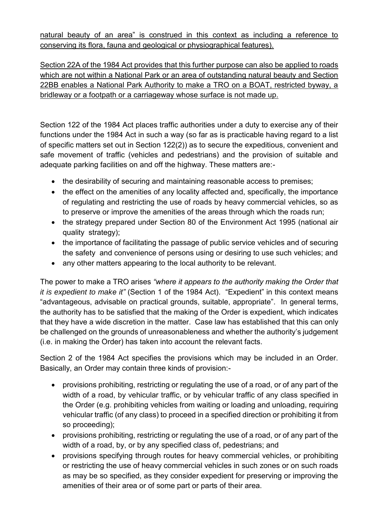natural beauty of an area" is construed in this context as including a reference to conserving its flora, fauna and geological or physiographical features).

Section 22A of the 1984 Act provides that this further purpose can also be applied to roads which are not within a National Park or an area of outstanding natural beauty and Section 22BB enables a National Park Authority to make a TRO on a BOAT, restricted byway, a bridleway or a footpath or a carriageway whose surface is not made up.

Section 122 of the 1984 Act places traffic authorities under a duty to exercise any of their functions under the 1984 Act in such a way (so far as is practicable having regard to a list of specific matters set out in Section 122(2)) as to secure the expeditious, convenient and safe movement of traffic (vehicles and pedestrians) and the provision of suitable and adequate parking facilities on and off the highway. These matters are:-

- the desirability of securing and maintaining reasonable access to premises;
- the effect on the amenities of any locality affected and, specifically, the importance of regulating and restricting the use of roads by heavy commercial vehicles, so as to preserve or improve the amenities of the areas through which the roads run;
- the strategy prepared under Section 80 of the Environment Act 1995 (national air quality strategy);
- the importance of facilitating the passage of public service vehicles and of securing the safety and convenience of persons using or desiring to use such vehicles; and
- any other matters appearing to the local authority to be relevant.

The power to make a TRO arises *"where it appears to the authority making the Order that it is expedient to make it"* (Section 1 of the 1984 Act). "Expedient" in this context means "advantageous, advisable on practical grounds, suitable, appropriate". In general terms, the authority has to be satisfied that the making of the Order is expedient, which indicates that they have a wide discretion in the matter. Case law has established that this can only be challenged on the grounds of unreasonableness and whether the authority's judgement (i.e. in making the Order) has taken into account the relevant facts.

Section 2 of the 1984 Act specifies the provisions which may be included in an Order. Basically, an Order may contain three kinds of provision:-

- provisions prohibiting, restricting or regulating the use of a road, or of any part of the width of a road, by vehicular traffic, or by vehicular traffic of any class specified in the Order (e.g. prohibiting vehicles from waiting or loading and unloading, requiring vehicular traffic (of any class) to proceed in a specified direction or prohibiting it from so proceeding);
- provisions prohibiting, restricting or regulating the use of a road, or of any part of the width of a road, by, or by any specified class of, pedestrians; and
- provisions specifying through routes for heavy commercial vehicles, or prohibiting or restricting the use of heavy commercial vehicles in such zones or on such roads as may be so specified, as they consider expedient for preserving or improving the amenities of their area or of some part or parts of their area.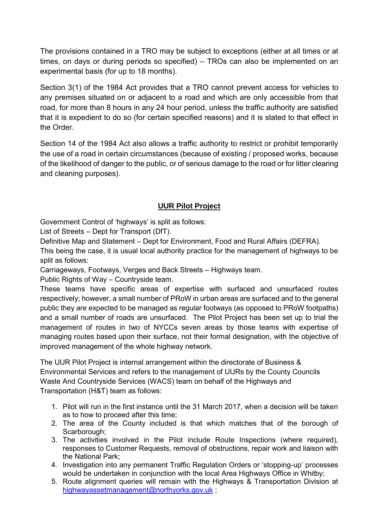The provisions contained in a TRO may be subject to exceptions (either at all times or at times, on days or during periods so specified) – TROs can also be implemented on an experimental basis (for up to 18 months).

Section 3(1) of the 1984 Act provides that a TRO cannot prevent access for vehicles to any premises situated on or adjacent to a road and which are only accessible from that road, for more than 8 hours in any 24 hour period, unless the traffic authority are satisfied that it is expedient to do so (for certain specified reasons) and it is stated to that effect in the Order.

Section 14 of the 1984 Act also allows a traffic authority to restrict or prohibit temporarily the use of a road in certain circumstances (because of existing / proposed works, because of the likelihood of danger to the public, or of serious damage to the road or for litter clearing and cleaning purposes).

# **UUR Pilot Project**

Government Control of 'highways' is split as follows:

List of Streets – Dept for Transport (DfT).

Definitive Map and Statement – Dept for Environment, Food and Rural Affairs (DEFRA).

This being the case, it is usual local authority practice for the management of highways to be split as follows:

Carriageways, Footways, Verges and Back Streets – Highways team.

Public Rights of Way – Countryside team.

These teams have specific areas of expertise with surfaced and unsurfaced routes respectively; however, a small number of PRoW in urban areas are surfaced and to the general public they are expected to be managed as regular footways (as opposed to PRoW footpaths) and a small number of roads are unsurfaced. The Pilot Project has been set up to trial the management of routes in two of NYCCs seven areas by those teams with expertise of managing routes based upon their surface, not their formal designation, with the objective of improved management of the whole highway network.

The UUR Pilot Project is internal arrangement within the directorate of Business & Environmental Services and refers to the management of UURs by the County Councils Waste And Countryside Services (WACS) team on behalf of the Highways and Transportation (H&T) team as follows:

- 1. Pilot will run in the first instance until the 31 March 2017, when a decision will be taken as to how to proceed after this time;
- 2. The area of the County included is that which matches that of the borough of Scarborough:
- 3. The activities involved in the Pilot include Route Inspections (where required), responses to Customer Requests, removal of obstructions, repair work and liaison with the National Park;
- 4. Investigation into any permanent Traffic Regulation Orders or 'stopping-up' processes would be undertaken in conjunction with the local Area Highways Office in Whitby;
- 5. Route alignment queries will remain with the Highways & Transportation Division at highwayassetmanagement@northyorks.gov.uk;